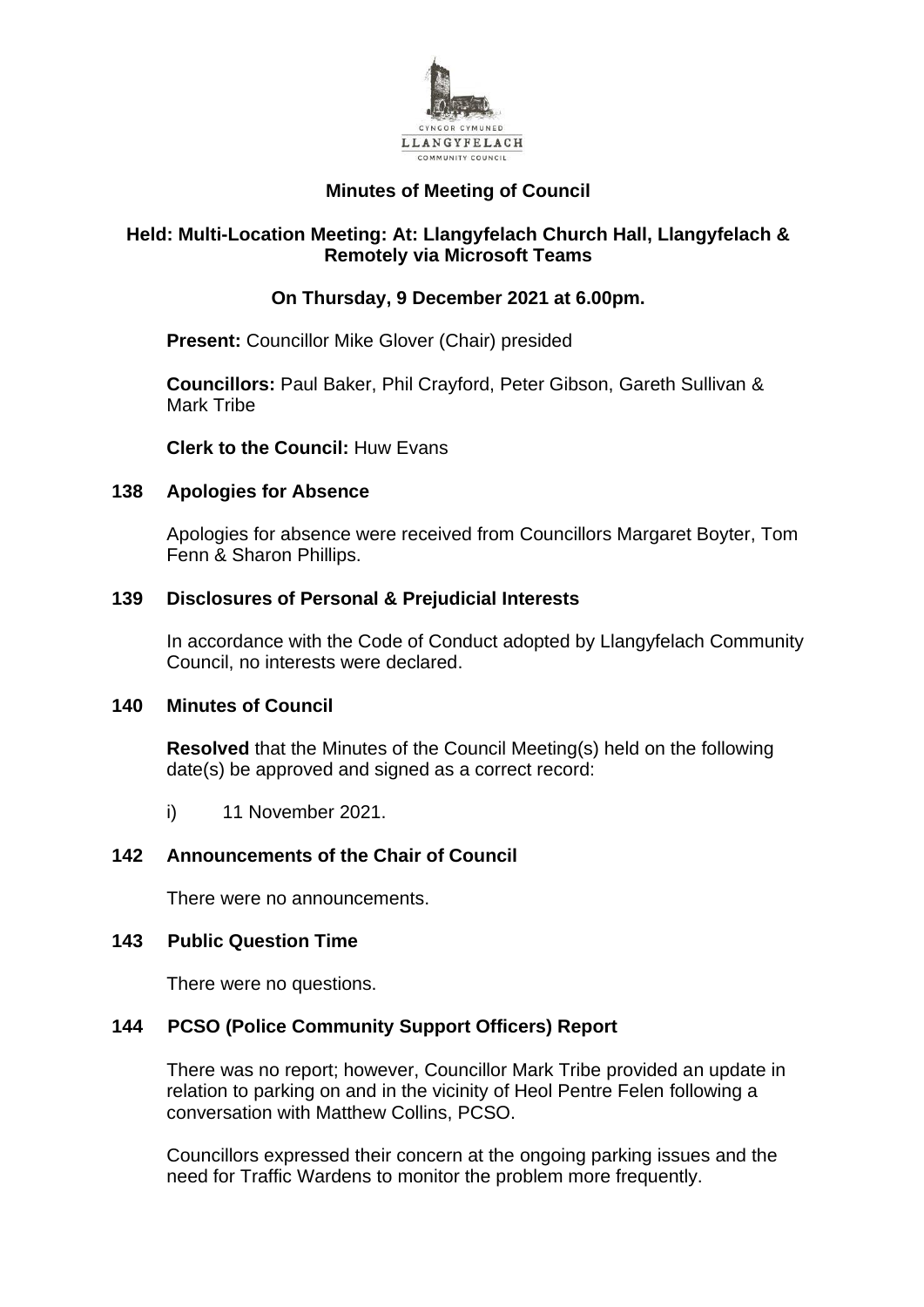

# **Minutes of Meeting of Council**

# **Held: Multi-Location Meeting: At: Llangyfelach Church Hall, Llangyfelach & Remotely via Microsoft Teams**

# **On Thursday, 9 December 2021 at 6.00pm.**

**Present:** Councillor Mike Glover (Chair) presided

**Councillors:** Paul Baker, Phil Crayford, Peter Gibson, Gareth Sullivan & Mark Tribe

**Clerk to the Council:** Huw Evans

# **138 Apologies for Absence**

Apologies for absence were received from Councillors Margaret Boyter, Tom Fenn & Sharon Phillips.

# **139 Disclosures of Personal & Prejudicial Interests**

In accordance with the Code of Conduct adopted by Llangyfelach Community Council, no interests were declared.

# **140 Minutes of Council**

**Resolved** that the Minutes of the Council Meeting(s) held on the following date(s) be approved and signed as a correct record:

i) 11 November 2021.

# **142 Announcements of the Chair of Council**

There were no announcements.

# **143 Public Question Time**

There were no questions.

# **144 PCSO (Police Community Support Officers) Report**

There was no report; however, Councillor Mark Tribe provided an update in relation to parking on and in the vicinity of Heol Pentre Felen following a conversation with Matthew Collins, PCSO.

Councillors expressed their concern at the ongoing parking issues and the need for Traffic Wardens to monitor the problem more frequently.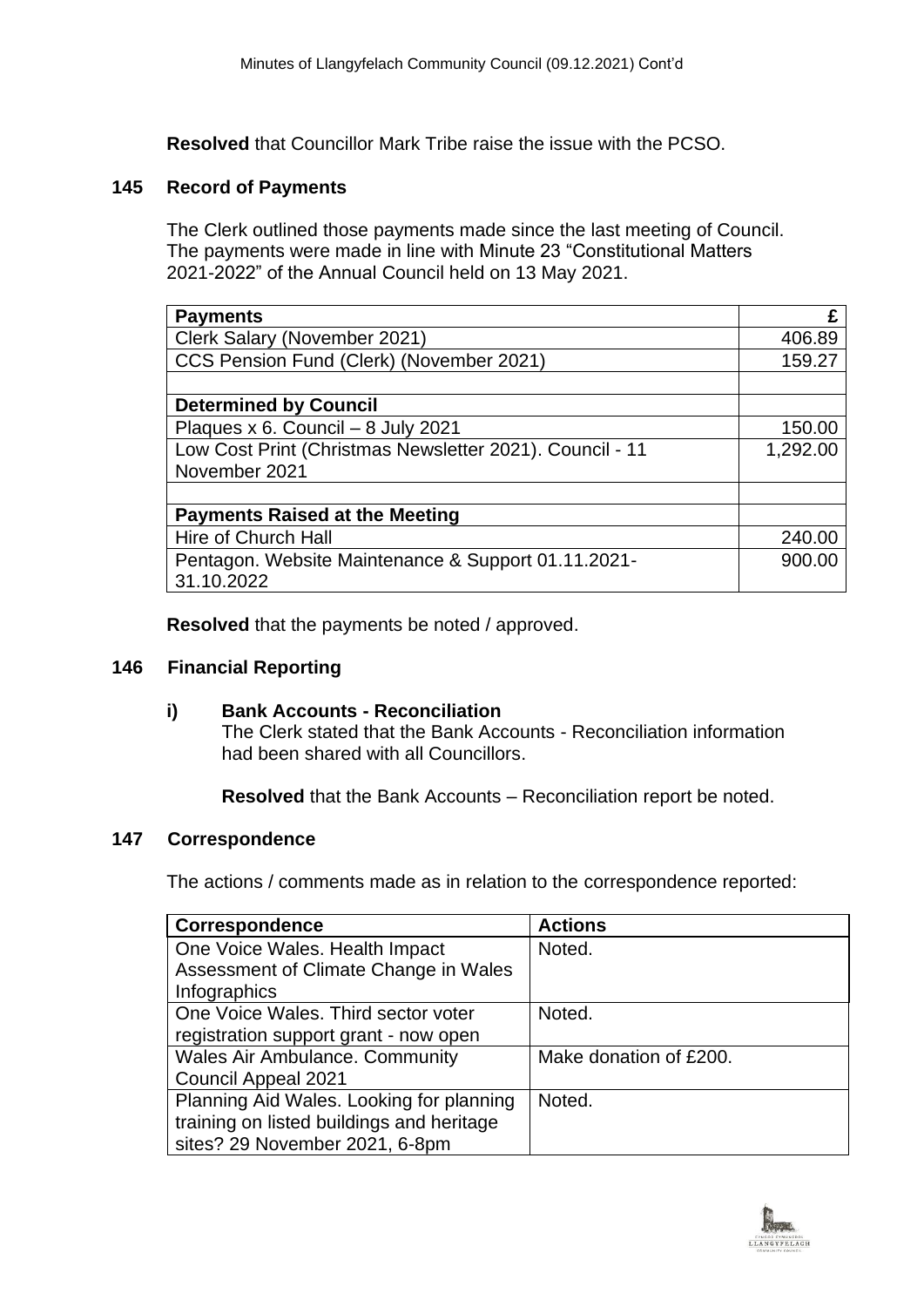**Resolved** that Councillor Mark Tribe raise the issue with the PCSO.

### **145 Record of Payments**

The Clerk outlined those payments made since the last meeting of Council. The payments were made in line with Minute 23 "Constitutional Matters 2021-2022" of the Annual Council held on 13 May 2021.

| <b>Payments</b>                                          | £        |
|----------------------------------------------------------|----------|
| Clerk Salary (November 2021)                             | 406.89   |
| CCS Pension Fund (Clerk) (November 2021)                 | 159.27   |
|                                                          |          |
| <b>Determined by Council</b>                             |          |
| Plaques x 6. Council - 8 July 2021                       | 150.00   |
| Low Cost Print (Christmas Newsletter 2021). Council - 11 | 1,292.00 |
| November 2021                                            |          |
|                                                          |          |
| <b>Payments Raised at the Meeting</b>                    |          |
| Hire of Church Hall                                      | 240.00   |
| Pentagon. Website Maintenance & Support 01.11.2021-      | 900.00   |
| 31.10.2022                                               |          |

**Resolved** that the payments be noted / approved.

### **146 Financial Reporting**

### **i) Bank Accounts - Reconciliation**

The Clerk stated that the Bank Accounts - Reconciliation information had been shared with all Councillors.

**Resolved** that the Bank Accounts – Reconciliation report be noted.

### **147 Correspondence**

The actions / comments made as in relation to the correspondence reported:

| <b>Correspondence</b>                     | <b>Actions</b>         |
|-------------------------------------------|------------------------|
| One Voice Wales. Health Impact            | Noted.                 |
| Assessment of Climate Change in Wales     |                        |
| Infographics                              |                        |
| One Voice Wales. Third sector voter       | Noted.                 |
| registration support grant - now open     |                        |
| <b>Wales Air Ambulance. Community</b>     | Make donation of £200. |
| Council Appeal 2021                       |                        |
| Planning Aid Wales. Looking for planning  | Noted.                 |
| training on listed buildings and heritage |                        |
| sites? 29 November 2021, 6-8pm            |                        |

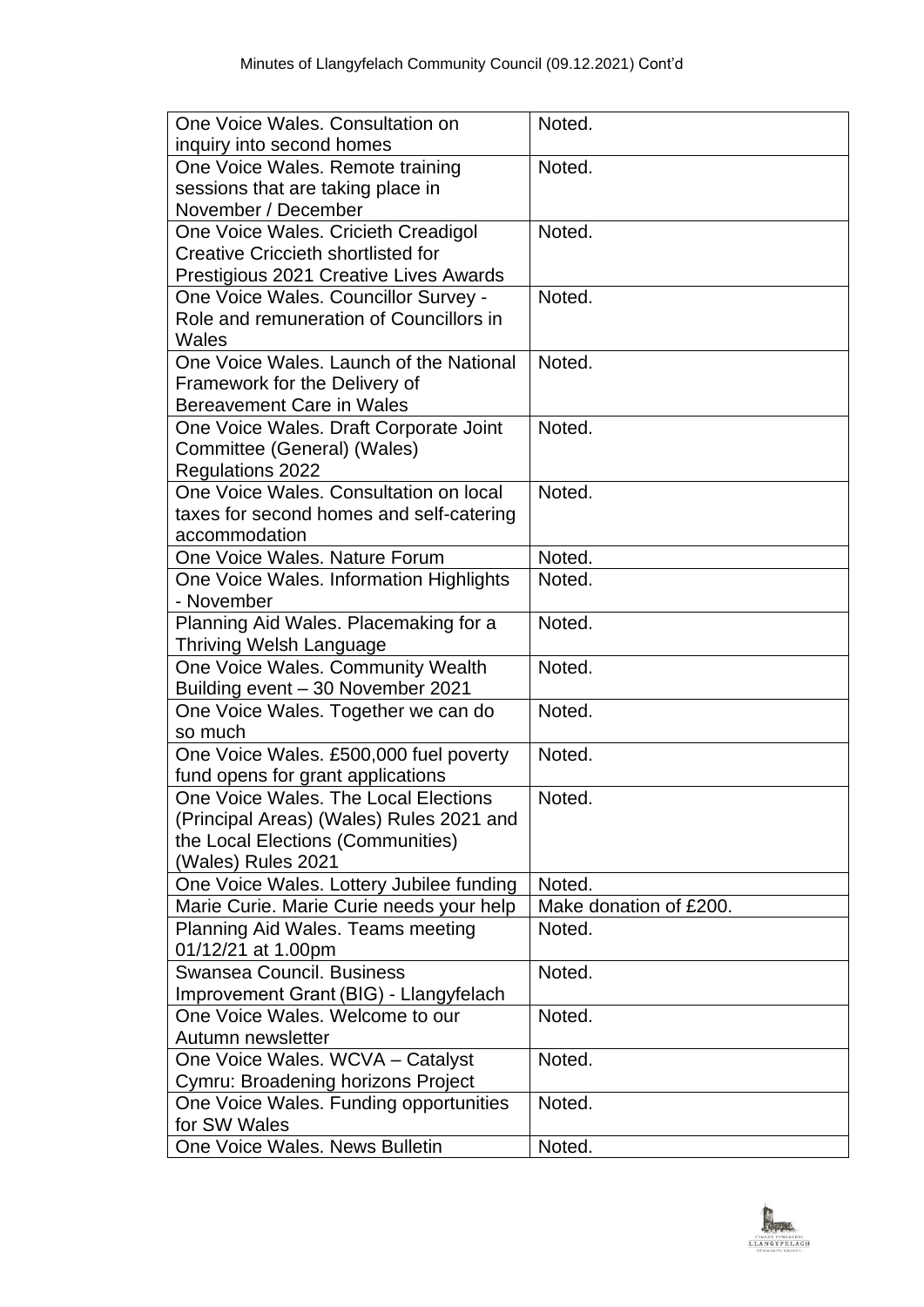| One Voice Wales, Consultation on          | Noted.                 |
|-------------------------------------------|------------------------|
| inquiry into second homes                 |                        |
| One Voice Wales. Remote training          | Noted.                 |
| sessions that are taking place in         |                        |
| November / December                       |                        |
| One Voice Wales. Cricieth Creadigol       | Noted.                 |
| <b>Creative Criccieth shortlisted for</b> |                        |
| Prestigious 2021 Creative Lives Awards    |                        |
| One Voice Wales. Councillor Survey -      | Noted.                 |
| Role and remuneration of Councillors in   |                        |
| Wales                                     |                        |
| One Voice Wales, Launch of the National   | Noted.                 |
| Framework for the Delivery of             |                        |
| Bereavement Care in Wales                 |                        |
| One Voice Wales. Draft Corporate Joint    | Noted.                 |
| Committee (General) (Wales)               |                        |
| <b>Regulations 2022</b>                   |                        |
| One Voice Wales, Consultation on local    | Noted.                 |
| taxes for second homes and self-catering  |                        |
| accommodation                             |                        |
| One Voice Wales. Nature Forum             | Noted.                 |
| One Voice Wales. Information Highlights   | Noted.                 |
| - November                                |                        |
| Planning Aid Wales. Placemaking for a     | Noted.                 |
| <b>Thriving Welsh Language</b>            |                        |
| One Voice Wales. Community Wealth         | Noted.                 |
| Building event - 30 November 2021         |                        |
| One Voice Wales. Together we can do       | Noted.                 |
| so much                                   |                        |
| One Voice Wales. £500,000 fuel poverty    | Noted.                 |
| fund opens for grant applications         |                        |
| One Voice Wales. The Local Elections      | Noted.                 |
| (Principal Areas) (Wales) Rules 2021 and  |                        |
| the Local Elections (Communities)         |                        |
| (Wales) Rules 2021                        |                        |
| One Voice Wales. Lottery Jubilee funding  | Noted.                 |
| Marie Curie. Marie Curie needs your help  | Make donation of £200. |
| Planning Aid Wales. Teams meeting         | Noted.                 |
| 01/12/21 at 1.00pm                        |                        |
| Swansea Council, Business                 | Noted.                 |
| Improvement Grant (BIG) - Llangyfelach    |                        |
| One Voice Wales. Welcome to our           | Noted.                 |
| Autumn newsletter                         |                        |
| One Voice Wales. WCVA - Catalyst          | Noted.                 |
| Cymru: Broadening horizons Project        |                        |
| One Voice Wales. Funding opportunities    | Noted.                 |
| for SW Wales                              |                        |
| One Voice Wales. News Bulletin            | Noted.                 |

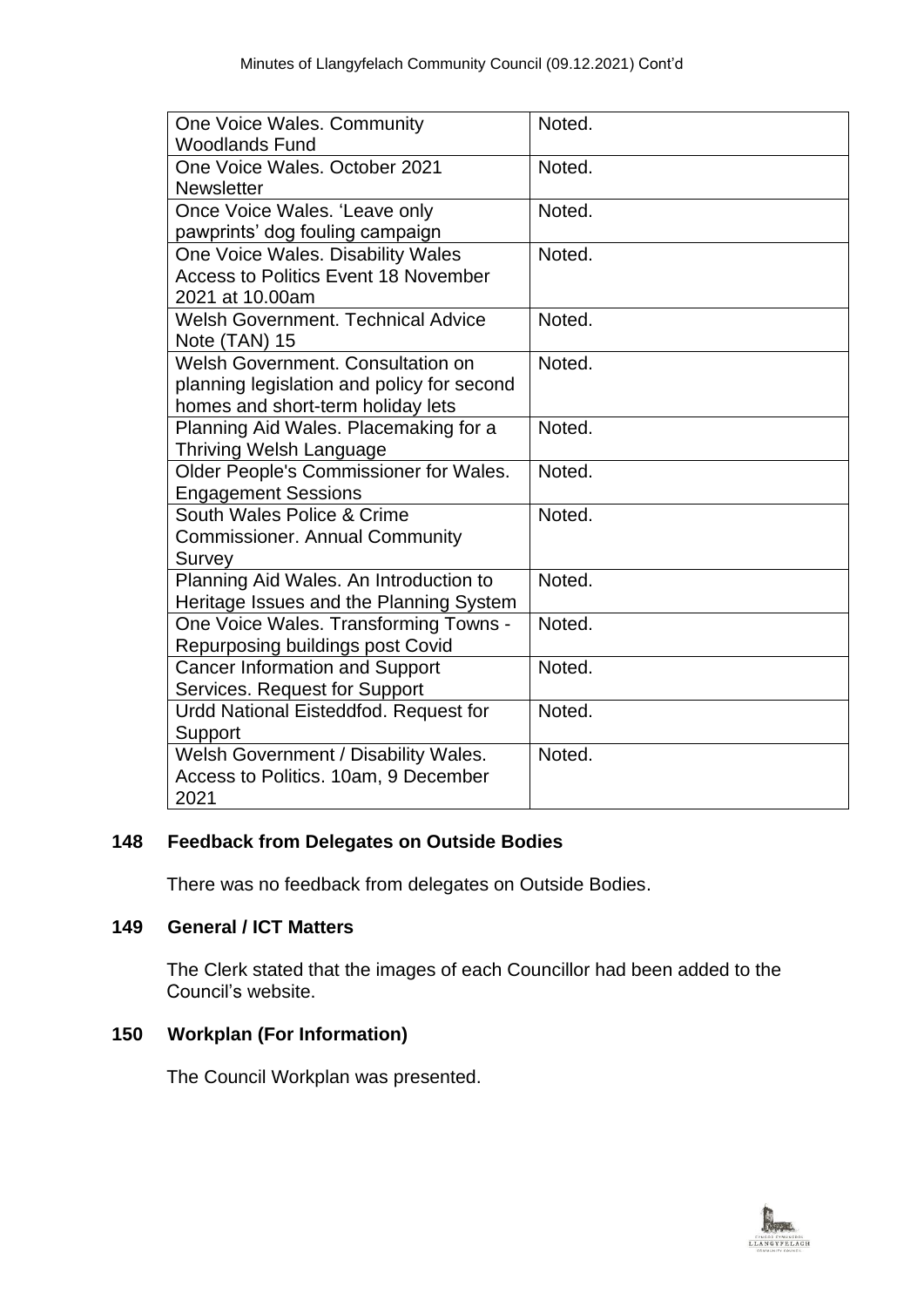| One Voice Wales. Community                  | Noted. |
|---------------------------------------------|--------|
| <b>Woodlands Fund</b>                       |        |
| One Voice Wales, October 2021               | Noted. |
| <b>Newsletter</b>                           |        |
| Once Voice Wales. 'Leave only               | Noted. |
| pawprints' dog fouling campaign             |        |
| One Voice Wales. Disability Wales           | Noted. |
| <b>Access to Politics Event 18 November</b> |        |
| 2021 at 10.00am                             |        |
| <b>Welsh Government. Technical Advice</b>   | Noted. |
| Note (TAN) 15                               |        |
| Welsh Government. Consultation on           | Noted. |
| planning legislation and policy for second  |        |
| homes and short-term holiday lets           |        |
| Planning Aid Wales. Placemaking for a       | Noted. |
| <b>Thriving Welsh Language</b>              |        |
| Older People's Commissioner for Wales.      | Noted. |
| <b>Engagement Sessions</b>                  |        |
| South Wales Police & Crime                  | Noted. |
| <b>Commissioner. Annual Community</b>       |        |
| Survey                                      |        |
| Planning Aid Wales. An Introduction to      | Noted. |
| Heritage Issues and the Planning System     |        |
| One Voice Wales. Transforming Towns -       | Noted. |
| Repurposing buildings post Covid            |        |
| <b>Cancer Information and Support</b>       | Noted. |
| Services. Request for Support               |        |
| Urdd National Eisteddfod. Request for       | Noted. |
| Support                                     |        |
| Welsh Government / Disability Wales.        | Noted. |
| Access to Politics. 10am, 9 December        |        |
| 2021                                        |        |

# **148 Feedback from Delegates on Outside Bodies**

There was no feedback from delegates on Outside Bodies.

# **149 General / ICT Matters**

The Clerk stated that the images of each Councillor had been added to the Council's website.

# **150 Workplan (For Information)**

The Council Workplan was presented.

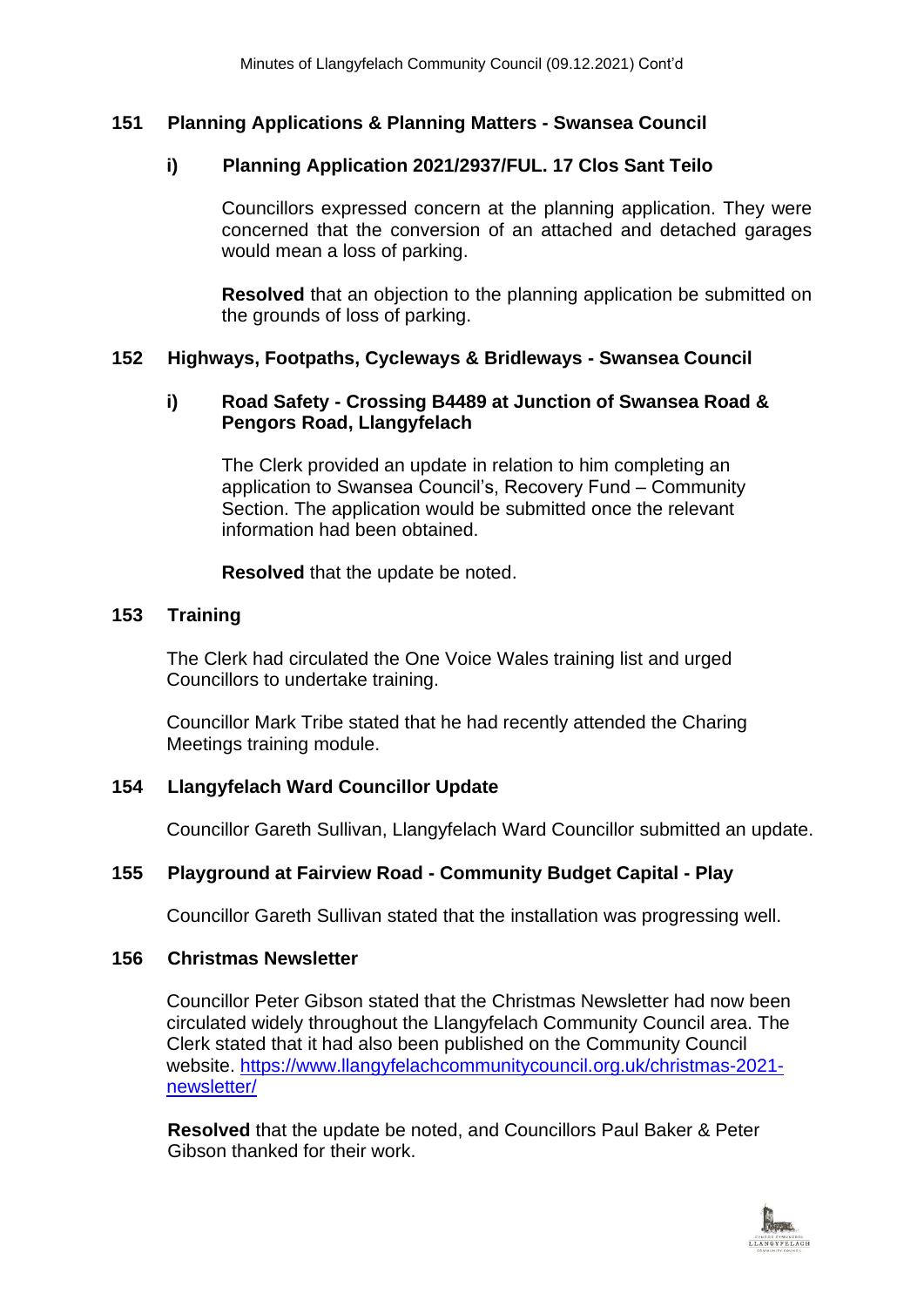# **151 Planning Applications & Planning Matters - Swansea Council**

# **i) Planning Application 2021/2937/FUL. 17 Clos Sant Teilo**

Councillors expressed concern at the planning application. They were concerned that the conversion of an attached and detached garages would mean a loss of parking.

**Resolved** that an objection to the planning application be submitted on the grounds of loss of parking.

# **152 Highways, Footpaths, Cycleways & Bridleways - Swansea Council**

# **i) Road Safety - Crossing B4489 at Junction of Swansea Road & Pengors Road, Llangyfelach**

The Clerk provided an update in relation to him completing an application to Swansea Council's, Recovery Fund – Community Section. The application would be submitted once the relevant information had been obtained.

**Resolved** that the update be noted.

# **153 Training**

The Clerk had circulated the One Voice Wales training list and urged Councillors to undertake training.

Councillor Mark Tribe stated that he had recently attended the Charing Meetings training module.

# **154 Llangyfelach Ward Councillor Update**

Councillor Gareth Sullivan, Llangyfelach Ward Councillor submitted an update.

# **155 Playground at Fairview Road - Community Budget Capital - Play**

Councillor Gareth Sullivan stated that the installation was progressing well.

### **156 Christmas Newsletter**

Councillor Peter Gibson stated that the Christmas Newsletter had now been circulated widely throughout the Llangyfelach Community Council area. The Clerk stated that it had also been published on the Community Council website. [https://www.llangyfelachcommunitycouncil.org.uk/christmas-2021](https://www.llangyfelachcommunitycouncil.org.uk/christmas-2021-newsletter/) [newsletter/](https://www.llangyfelachcommunitycouncil.org.uk/christmas-2021-newsletter/)

**Resolved** that the update be noted, and Councillors Paul Baker & Peter Gibson thanked for their work.

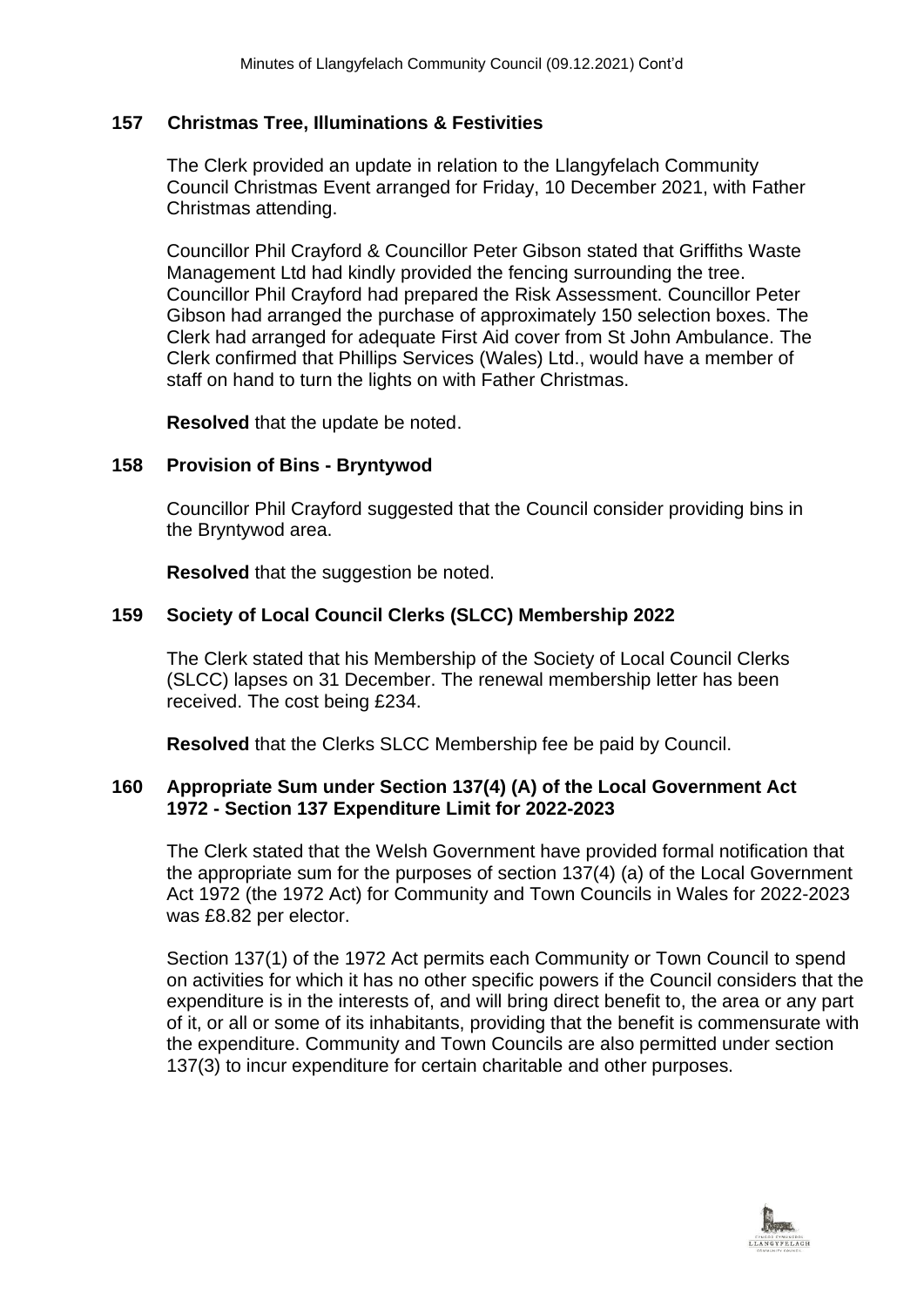### **157 Christmas Tree, Illuminations & Festivities**

The Clerk provided an update in relation to the Llangyfelach Community Council Christmas Event arranged for Friday, 10 December 2021, with Father Christmas attending.

Councillor Phil Crayford & Councillor Peter Gibson stated that Griffiths Waste Management Ltd had kindly provided the fencing surrounding the tree. Councillor Phil Crayford had prepared the Risk Assessment. Councillor Peter Gibson had arranged the purchase of approximately 150 selection boxes. The Clerk had arranged for adequate First Aid cover from St John Ambulance. The Clerk confirmed that Phillips Services (Wales) Ltd., would have a member of staff on hand to turn the lights on with Father Christmas.

**Resolved** that the update be noted.

### **158 Provision of Bins - Bryntywod**

Councillor Phil Crayford suggested that the Council consider providing bins in the Bryntywod area.

**Resolved** that the suggestion be noted.

# **159 Society of Local Council Clerks (SLCC) Membership 2022**

The Clerk stated that his Membership of the Society of Local Council Clerks (SLCC) lapses on 31 December. The renewal membership letter has been received. The cost being £234.

**Resolved** that the Clerks SLCC Membership fee be paid by Council.

### **160 Appropriate Sum under Section 137(4) (A) of the Local Government Act 1972 - Section 137 Expenditure Limit for 2022-2023**

The Clerk stated that the Welsh Government have provided formal notification that the appropriate sum for the purposes of section 137(4) (a) of the Local Government Act 1972 (the 1972 Act) for Community and Town Councils in Wales for 2022-2023 was £8.82 per elector.

Section 137(1) of the 1972 Act permits each Community or Town Council to spend on activities for which it has no other specific powers if the Council considers that the expenditure is in the interests of, and will bring direct benefit to, the area or any part of it, or all or some of its inhabitants, providing that the benefit is commensurate with the expenditure. Community and Town Councils are also permitted under section 137(3) to incur expenditure for certain charitable and other purposes.